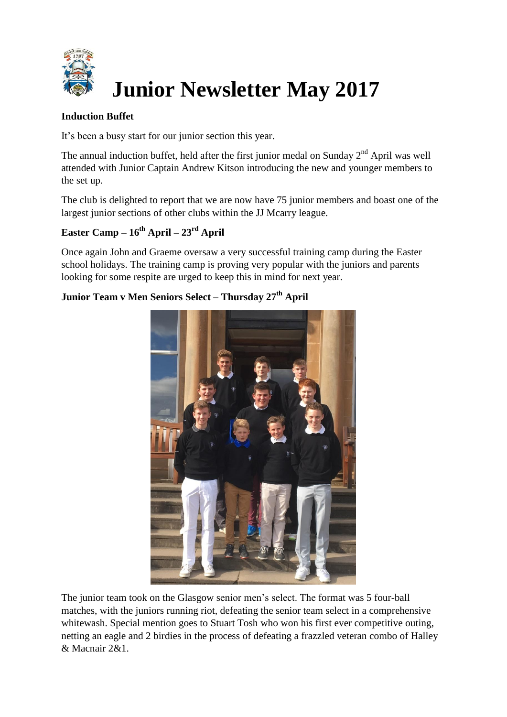

#### **Induction Buffet**

It's been a busy start for our junior section this year.

The annual induction buffet, held after the first junior medal on Sunday  $2<sup>nd</sup>$  April was well attended with Junior Captain Andrew Kitson introducing the new and younger members to the set up.

The club is delighted to report that we are now have 75 junior members and boast one of the largest junior sections of other clubs within the JJ Mcarry league.

# **Easter Camp – 16th April – 23rd April**

Once again John and Graeme oversaw a very successful training camp during the Easter school holidays. The training camp is proving very popular with the juniors and parents looking for some respite are urged to keep this in mind for next year.

### **Junior Team v Men Seniors Select – Thursday 27th April**



The junior team took on the Glasgow senior men's select. The format was 5 four-ball matches, with the juniors running riot, defeating the senior team select in a comprehensive whitewash. Special mention goes to Stuart Tosh who won his first ever competitive outing, netting an eagle and 2 birdies in the process of defeating a frazzled veteran combo of Halley & Macnair 2&1.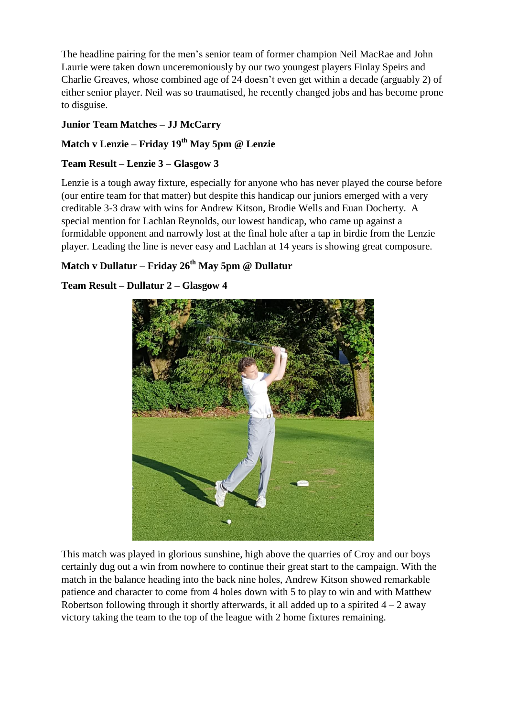The headline pairing for the men's senior team of former champion Neil MacRae and John Laurie were taken down unceremoniously by our two youngest players Finlay Speirs and Charlie Greaves, whose combined age of 24 doesn't even get within a decade (arguably 2) of either senior player. Neil was so traumatised, he recently changed jobs and has become prone to disguise.

### **Junior Team Matches – JJ McCarry**

# **Match v Lenzie – Friday 19th May 5pm @ Lenzie**

### **Team Result – Lenzie 3 – Glasgow 3**

Lenzie is a tough away fixture, especially for anyone who has never played the course before (our entire team for that matter) but despite this handicap our juniors emerged with a very creditable 3-3 draw with wins for Andrew Kitson, Brodie Wells and Euan Docherty. A special mention for Lachlan Reynolds, our lowest handicap, who came up against a formidable opponent and narrowly lost at the final hole after a tap in birdie from the Lenzie player. Leading the line is never easy and Lachlan at 14 years is showing great composure.

## **Match v Dullatur – Friday 26th May 5pm @ Dullatur**

### **Team Result – Dullatur 2 – Glasgow 4**



This match was played in glorious sunshine, high above the quarries of Croy and our boys certainly dug out a win from nowhere to continue their great start to the campaign. With the match in the balance heading into the back nine holes, Andrew Kitson showed remarkable patience and character to come from 4 holes down with 5 to play to win and with Matthew Robertson following through it shortly afterwards, it all added up to a spirited  $4 - 2$  away victory taking the team to the top of the league with 2 home fixtures remaining.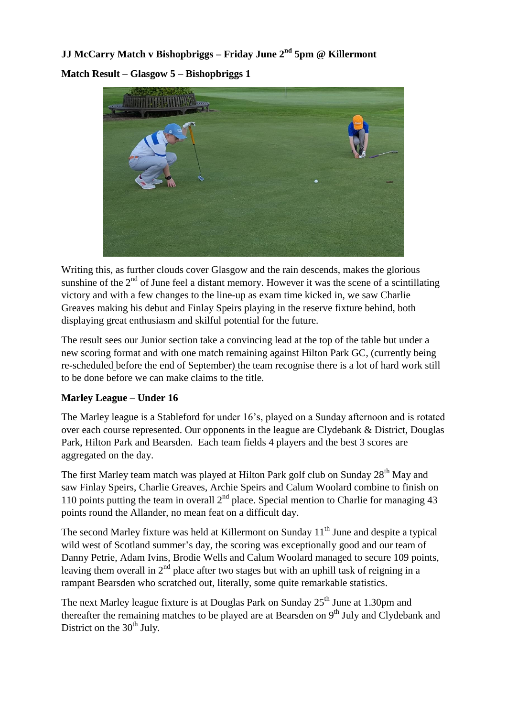**JJ McCarry Match v Bishopbriggs – Friday June 2nd 5pm @ Killermont Match Result – Glasgow 5 – Bishopbriggs 1**



Writing this, as further clouds cover Glasgow and the rain descends, makes the glorious sunshine of the  $2<sup>nd</sup>$  of June feel a distant memory. However it was the scene of a scintillating victory and with a few changes to the line-up as exam time kicked in, we saw Charlie Greaves making his debut and Finlay Speirs playing in the reserve fixture behind, both displaying great enthusiasm and skilful potential for the future.

The result sees our Junior section take a convincing lead at the top of the table but under a new scoring format and with one match remaining against Hilton Park GC, (currently being re-scheduled before the end of September) the team recognise there is a lot of hard work still to be done before we can make claims to the title.

#### **Marley League – Under 16**

The Marley league is a Stableford for under 16's, played on a Sunday afternoon and is rotated over each course represented. Our opponents in the league are Clydebank & District, Douglas Park, Hilton Park and Bearsden. Each team fields 4 players and the best 3 scores are aggregated on the day.

The first Marley team match was played at Hilton Park golf club on Sunday 28<sup>th</sup> May and saw Finlay Speirs, Charlie Greaves, Archie Speirs and Calum Woolard combine to finish on 110 points putting the team in overall  $2<sup>nd</sup>$  place. Special mention to Charlie for managing 43 points round the Allander, no mean feat on a difficult day.

The second Marley fixture was held at Killermont on Sunday  $11<sup>th</sup>$  June and despite a typical wild west of Scotland summer's day, the scoring was exceptionally good and our team of Danny Petrie, Adam Ivins, Brodie Wells and Calum Woolard managed to secure 109 points, leaving them overall in  $2<sup>nd</sup>$  place after two stages but with an uphill task of reigning in a rampant Bearsden who scratched out, literally, some quite remarkable statistics.

The next Marley league fixture is at Douglas Park on Sunday  $25<sup>th</sup>$  June at 1.30pm and thereafter the remaining matches to be played are at Bearsden on  $9<sup>th</sup>$  July and Clydebank and District on the  $30<sup>th</sup>$  July.